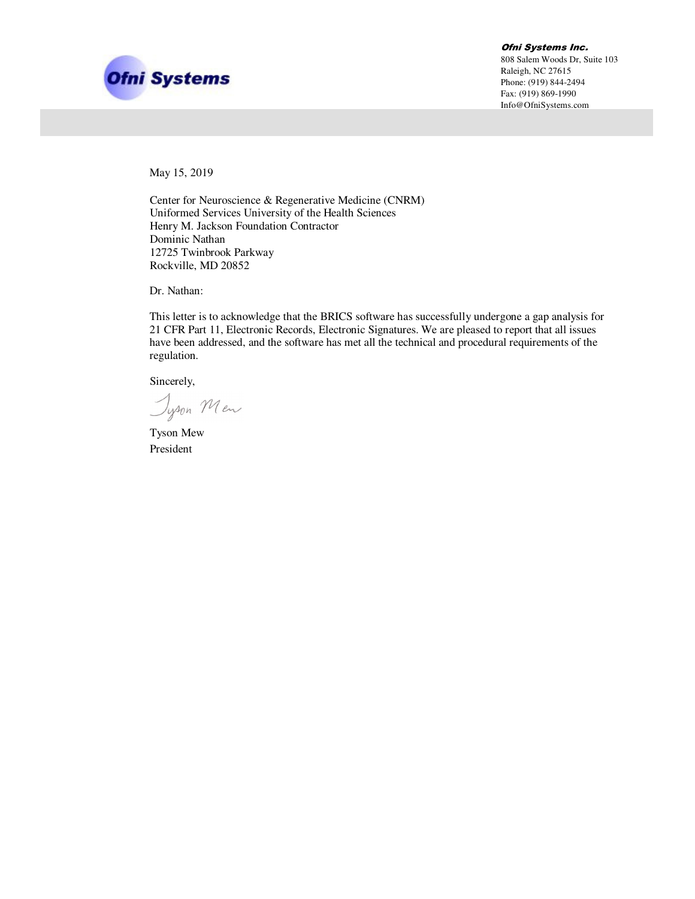

Ofni Systems Inc. 808 Salem Woods Dr, Suite 103 Raleigh, NC 27615 Phone: (919) 844-2494 Fax: (919) 869-1990 Info@OfniSystems.com

May 15, 2019

Center for Neuroscience & Regenerative Medicine (CNRM) Uniformed Services University of the Health Sciences Henry M. Jackson Foundation Contractor Dominic Nathan 12725 Twinbrook Parkway Rockville, MD 20852

Dr. Nathan:

This letter is to acknowledge that the BRICS software has successfully undergone a gap analysis for 21 CFR Part 11, Electronic Records, Electronic Signatures. We are pleased to report that all issues have been addressed, and the software has met all the technical and procedural requirements of the regulation.

Sincerely,

Jyson Men

Tyson Mew President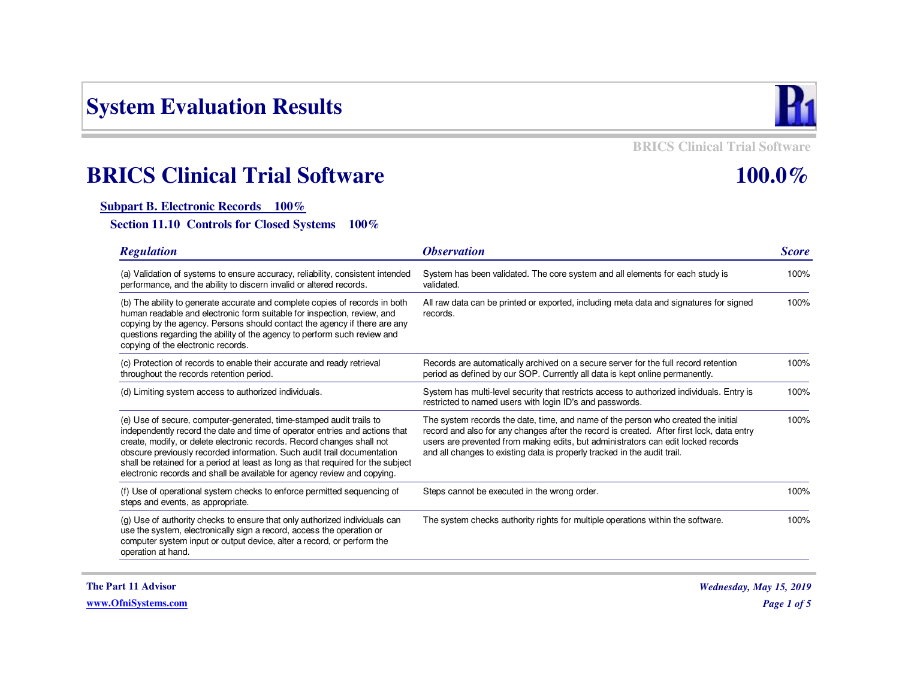# **System Evaluation Results**



**BRICS Clinical Trial Software**

## **100.0%**

# **BRICS Clinical Trial Software**

#### **Subpart B. Electronic Records 100%**

**Section 11.10 Controls for Closed Systems 100%**

| <b>Regulation</b>                                                                                                                                                                                                                                                                                                                                                                                                                                                       | <i><b>Observation</b></i>                                                                                                                                                                                                                                                                                                                       | <b>Score</b> |
|-------------------------------------------------------------------------------------------------------------------------------------------------------------------------------------------------------------------------------------------------------------------------------------------------------------------------------------------------------------------------------------------------------------------------------------------------------------------------|-------------------------------------------------------------------------------------------------------------------------------------------------------------------------------------------------------------------------------------------------------------------------------------------------------------------------------------------------|--------------|
| (a) Validation of systems to ensure accuracy, reliability, consistent intended<br>performance, and the ability to discern invalid or altered records.                                                                                                                                                                                                                                                                                                                   | System has been validated. The core system and all elements for each study is<br>validated.                                                                                                                                                                                                                                                     | 100%         |
| (b) The ability to generate accurate and complete copies of records in both<br>human readable and electronic form suitable for inspection, review, and<br>copying by the agency. Persons should contact the agency if there are any<br>questions regarding the ability of the agency to perform such review and<br>copying of the electronic records.                                                                                                                   | All raw data can be printed or exported, including meta data and signatures for signed<br>records.                                                                                                                                                                                                                                              | 100%         |
| (c) Protection of records to enable their accurate and ready retrieval<br>throughout the records retention period.                                                                                                                                                                                                                                                                                                                                                      | Records are automatically archived on a secure server for the full record retention<br>period as defined by our SOP. Currently all data is kept online permanently.                                                                                                                                                                             | 100%         |
| (d) Limiting system access to authorized individuals.                                                                                                                                                                                                                                                                                                                                                                                                                   | System has multi-level security that restricts access to authorized individuals. Entry is<br>restricted to named users with login ID's and passwords.                                                                                                                                                                                           | 100%         |
| (e) Use of secure, computer-generated, time-stamped audit trails to<br>independently record the date and time of operator entries and actions that<br>create, modify, or delete electronic records. Record changes shall not<br>obscure previously recorded information. Such audit trail documentation<br>shall be retained for a period at least as long as that required for the subject<br>electronic records and shall be available for agency review and copying. | The system records the date, time, and name of the person who created the initial<br>record and also for any changes after the record is created. After first lock, data entry<br>users are prevented from making edits, but administrators can edit locked records<br>and all changes to existing data is properly tracked in the audit trail. | 100%         |
| (f) Use of operational system checks to enforce permitted sequencing of<br>steps and events, as appropriate.                                                                                                                                                                                                                                                                                                                                                            | Steps cannot be executed in the wrong order.                                                                                                                                                                                                                                                                                                    | 100%         |
| (g) Use of authority checks to ensure that only authorized individuals can<br>use the system, electronically sign a record, access the operation or<br>computer system input or output device, alter a record, or perform the<br>operation at hand.                                                                                                                                                                                                                     | The system checks authority rights for multiple operations within the software.                                                                                                                                                                                                                                                                 | 100%         |

**The Part 11 Advisor**

**www.OfniSystems.com**

*Wednesday, May 15, 2019Page 1 of 5*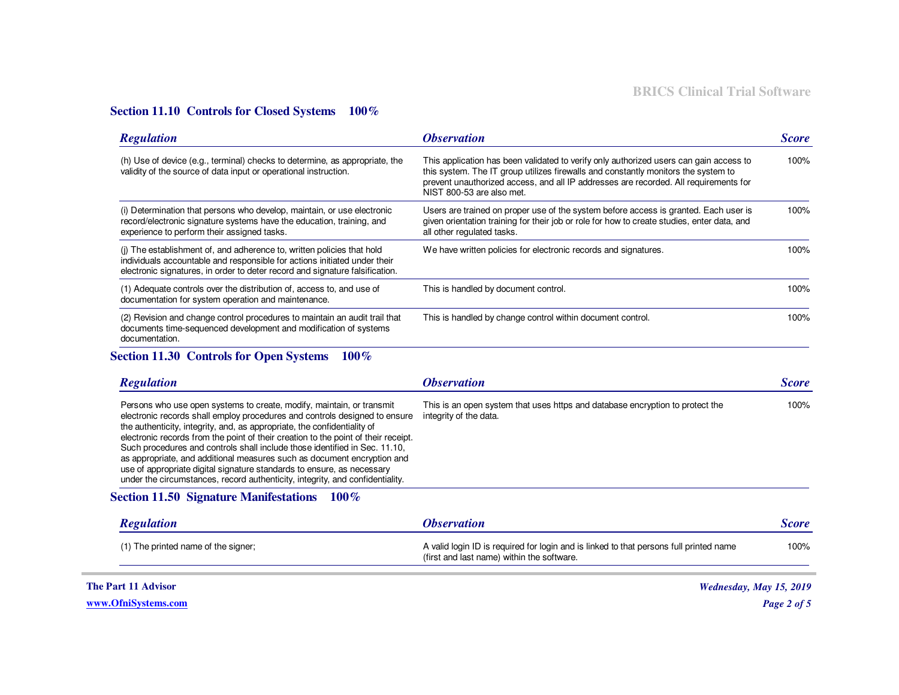#### **Section 11.10 Controls for Closed Systems 100%**

| <b>Regulation</b>                                                                                                                                                                                                                   | <i><b>Observation</b></i>                                                                                                                                                                                                                                                                         | <b>Score</b> |
|-------------------------------------------------------------------------------------------------------------------------------------------------------------------------------------------------------------------------------------|---------------------------------------------------------------------------------------------------------------------------------------------------------------------------------------------------------------------------------------------------------------------------------------------------|--------------|
| (h) Use of device (e.g., terminal) checks to determine, as appropriate, the<br>validity of the source of data input or operational instruction.                                                                                     | This application has been validated to verify only authorized users can gain access to<br>this system. The IT group utilizes firewalls and constantly monitors the system to<br>prevent unauthorized access, and all IP addresses are recorded. All requirements for<br>NIST 800-53 are also met. | 100%         |
| (i) Determination that persons who develop, maintain, or use electronic<br>record/electronic signature systems have the education, training, and<br>experience to perform their assigned tasks.                                     | Users are trained on proper use of the system before access is granted. Each user is<br>given orientation training for their job or role for how to create studies, enter data, and<br>all other regulated tasks.                                                                                 | 100%         |
| (i) The establishment of, and adherence to, written policies that hold<br>individuals accountable and responsible for actions initiated under their<br>electronic signatures, in order to deter record and signature falsification. | We have written policies for electronic records and signatures.                                                                                                                                                                                                                                   | 100%         |
| (1) Adequate controls over the distribution of, access to, and use of<br>documentation for system operation and maintenance.                                                                                                        | This is handled by document control.                                                                                                                                                                                                                                                              | 100%         |
| (2) Revision and change control procedures to maintain an audit trail that<br>documents time-sequenced development and modification of systems<br>documentation.                                                                    | This is handled by change control within document control.                                                                                                                                                                                                                                        | 100%         |

#### **Section 11.30 Controls for Open Systems 100%**

| <b>Regulation</b>                                                                                                                                                                                                                                                                                                                                                                                                                                                                                                                                                                                                                         | <i><b>Observation</b></i>                                                                               | <b>Score</b> |
|-------------------------------------------------------------------------------------------------------------------------------------------------------------------------------------------------------------------------------------------------------------------------------------------------------------------------------------------------------------------------------------------------------------------------------------------------------------------------------------------------------------------------------------------------------------------------------------------------------------------------------------------|---------------------------------------------------------------------------------------------------------|--------------|
| Persons who use open systems to create, modify, maintain, or transmit<br>electronic records shall employ procedures and controls designed to ensure<br>the authenticity, integrity, and, as appropriate, the confidentiality of<br>electronic records from the point of their creation to the point of their receipt.<br>Such procedures and controls shall include those identified in Sec. 11.10,<br>as appropriate, and additional measures such as document encryption and<br>use of appropriate digital signature standards to ensure, as necessary<br>under the circumstances, record authenticity, integrity, and confidentiality. | This is an open system that uses https and database encryption to protect the<br>integrity of the data. | 100%         |

#### **Section 11.50 Signature Manifestations 100%**

| <b>Regulation</b>                   | <i><b>Observation</b></i>                                                                                                            | <i>Score</i> |
|-------------------------------------|--------------------------------------------------------------------------------------------------------------------------------------|--------------|
| (1) The printed name of the signer; | A valid login ID is required for login and is linked to that persons full printed name<br>(first and last name) within the software. | 100%         |

**The Part 11 Advisor**

**www.OfniSystems.com**

*Wednesday, May 15, 2019*

*Page 2 of 5*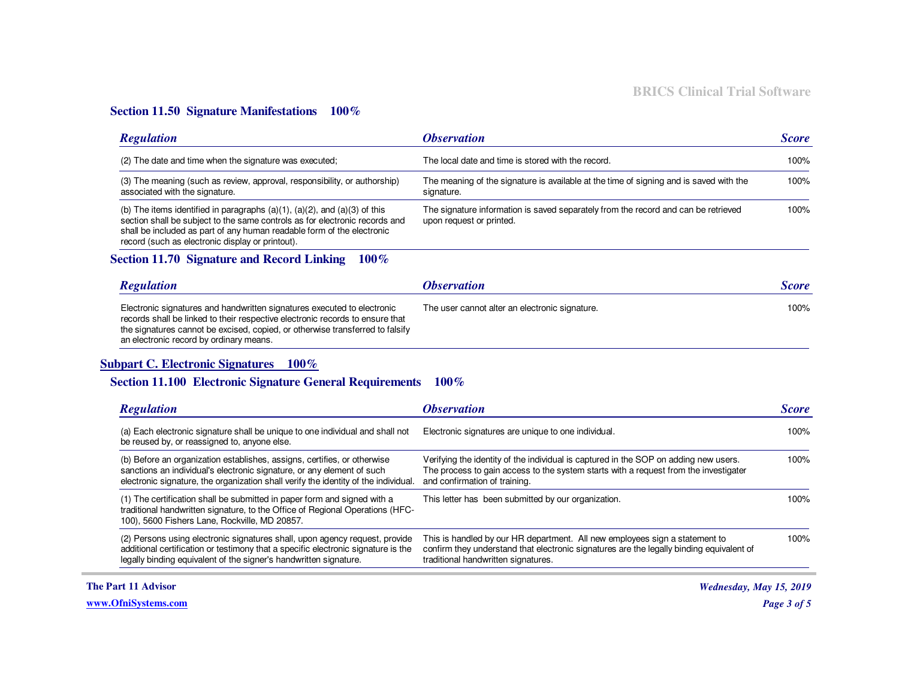#### **Section 11.50 Signature Manifestations 100%**

| <b>Regulation</b>                                                                                                                                                                                                                                                                              | <i><b>Observation</b></i>                                                                                      | <b>Score</b> |
|------------------------------------------------------------------------------------------------------------------------------------------------------------------------------------------------------------------------------------------------------------------------------------------------|----------------------------------------------------------------------------------------------------------------|--------------|
| (2) The date and time when the signature was executed;                                                                                                                                                                                                                                         | The local date and time is stored with the record.                                                             | $100\%$      |
| (3) The meaning (such as review, approval, responsibility, or authorship)<br>associated with the signature.                                                                                                                                                                                    | The meaning of the signature is available at the time of signing and is saved with the<br>signature.           | 100%         |
| (b) The items identified in paragraphs $(a)(1)$ , $(a)(2)$ , and $(a)(3)$ of this<br>section shall be subject to the same controls as for electronic records and<br>shall be included as part of any human readable form of the electronic<br>record (such as electronic display or printout). | The signature information is saved separately from the record and can be retrieved<br>upon request or printed. | 100%         |

### **Section 11.70 Signature and Record Linking 100%**

| <b>Regulation</b>                                                                                                                                                                                                                                                                    | <i><b>Observation</b></i>                      | <b>Score</b> |
|--------------------------------------------------------------------------------------------------------------------------------------------------------------------------------------------------------------------------------------------------------------------------------------|------------------------------------------------|--------------|
| Electronic signatures and handwritten signatures executed to electronic<br>records shall be linked to their respective electronic records to ensure that<br>the signatures cannot be excised, copied, or otherwise transferred to falsify<br>an electronic record by ordinary means. | The user cannot alter an electronic signature. | 100%         |

#### **Subpart C. Electronic Signatures 100%**

#### **Section 11.100 Electronic Signature General Requirements 100%**

| <b>Regulation</b>                                                                                                                                                                                                                         | <i><b>Observation</b></i>                                                                                                                                                                                      | <b>Score</b> |
|-------------------------------------------------------------------------------------------------------------------------------------------------------------------------------------------------------------------------------------------|----------------------------------------------------------------------------------------------------------------------------------------------------------------------------------------------------------------|--------------|
| (a) Each electronic signature shall be unique to one individual and shall not<br>be reused by, or reassigned to, anyone else.                                                                                                             | Electronic signatures are unique to one individual.                                                                                                                                                            | 100%         |
| (b) Before an organization establishes, assigns, certifies, or otherwise<br>sanctions an individual's electronic signature, or any element of such<br>electronic signature, the organization shall verify the identity of the individual. | Verifying the identity of the individual is captured in the SOP on adding new users.<br>The process to gain access to the system starts with a request from the investigater<br>and confirmation of training.  | 100%         |
| (1) The certification shall be submitted in paper form and signed with a<br>traditional handwritten signature, to the Office of Regional Operations (HFC-<br>100), 5600 Fishers Lane, Rockville, MD 20857.                                | This letter has been submitted by our organization.                                                                                                                                                            | 100%         |
| (2) Persons using electronic signatures shall, upon agency request, provide<br>additional certification or testimony that a specific electronic signature is the<br>legally binding equivalent of the signer's handwritten signature.     | This is handled by our HR department. All new employees sign a statement to<br>confirm they understand that electronic signatures are the legally binding equivalent of<br>traditional handwritten signatures. | 100%         |

**The Part 11 Advisor**

**www.OfniSystems.com**

*Wednesday, May 15, 2019*

*Page 3 of 5*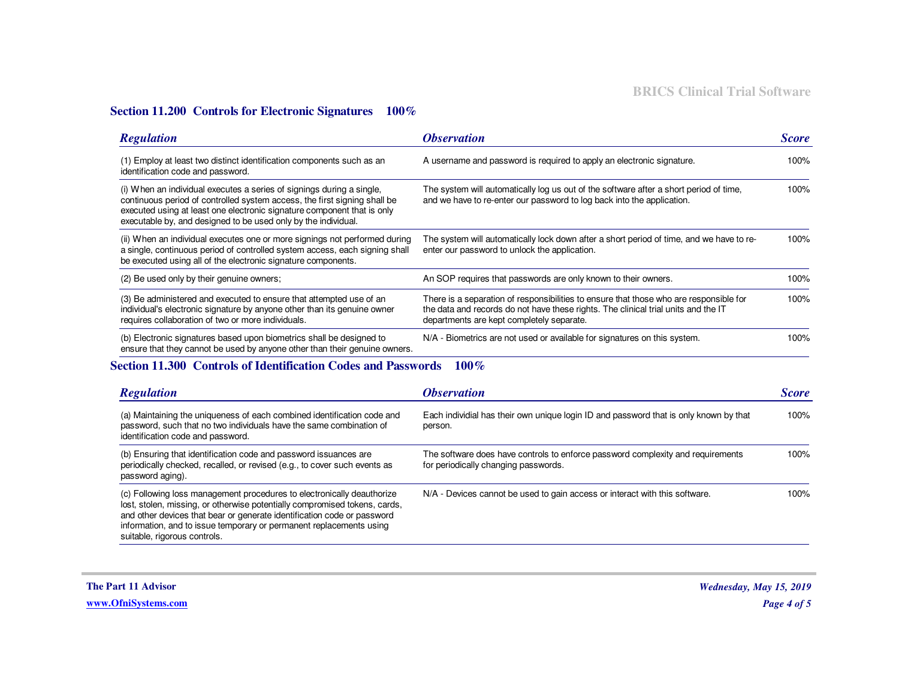#### **Section 11.200 Controls for Electronic Signatures 100%**

| <b>Regulation</b>                                                                                                                                                                                                                                                                               | <i><b>Observation</b></i>                                                                                                                                                                                                 | <b>Score</b> |
|-------------------------------------------------------------------------------------------------------------------------------------------------------------------------------------------------------------------------------------------------------------------------------------------------|---------------------------------------------------------------------------------------------------------------------------------------------------------------------------------------------------------------------------|--------------|
| (1) Employ at least two distinct identification components such as an<br>identification code and password.                                                                                                                                                                                      | A username and password is required to apply an electronic signature.                                                                                                                                                     | 100%         |
| (i) When an individual executes a series of signings during a single,<br>continuous period of controlled system access, the first signing shall be<br>executed using at least one electronic signature component that is only<br>executable by, and designed to be used only by the individual. | The system will automatically log us out of the software after a short period of time,<br>and we have to re-enter our password to log back into the application.                                                          | 100%         |
| (ii) When an individual executes one or more signings not performed during<br>a single, continuous period of controlled system access, each signing shall<br>be executed using all of the electronic signature components.                                                                      | The system will automatically lock down after a short period of time, and we have to re-<br>enter our password to unlock the application.                                                                                 | 100%         |
| (2) Be used only by their genuine owners;                                                                                                                                                                                                                                                       | An SOP requires that passwords are only known to their owners.                                                                                                                                                            | 100%         |
| (3) Be administered and executed to ensure that attempted use of an<br>individual's electronic signature by anyone other than its genuine owner<br>requires collaboration of two or more individuals.                                                                                           | There is a separation of responsibilities to ensure that those who are responsible for<br>the data and records do not have these rights. The clinical trial units and the IT<br>departments are kept completely separate. | 100%         |
| (b) Electronic signatures based upon biometrics shall be designed to<br>ensure that they cannot be used by anyone other than their genuine owners.                                                                                                                                              | N/A - Biometrics are not used or available for signatures on this system.                                                                                                                                                 | 100%         |

### **Section 11.300 Controls of Identification Codes and Passwords 100%**

| <b>Regulation</b>                                                                                                                                                                                                                                                                                                                      | <i><b>Observation</b></i>                                                                                               | <b>Score</b> |
|----------------------------------------------------------------------------------------------------------------------------------------------------------------------------------------------------------------------------------------------------------------------------------------------------------------------------------------|-------------------------------------------------------------------------------------------------------------------------|--------------|
| (a) Maintaining the uniqueness of each combined identification code and<br>password, such that no two individuals have the same combination of<br>identification code and password.                                                                                                                                                    | Each individial has their own unique login ID and password that is only known by that<br>person.                        | 100%         |
| (b) Ensuring that identification code and password issuances are<br>periodically checked, recalled, or revised (e.g., to cover such events as<br>password aging).                                                                                                                                                                      | The software does have controls to enforce password complexity and requirements<br>for periodically changing passwords. | 100%         |
| (c) Following loss management procedures to electronically deauthorize<br>lost, stolen, missing, or otherwise potentially compromised tokens, cards,<br>and other devices that bear or generate identification code or password<br>information, and to issue temporary or permanent replacements using<br>suitable, rigorous controls. | N/A - Devices cannot be used to gain access or interact with this software.                                             | 100%         |

**The Part 11 Advisor**

**www.OfniSystems.com**